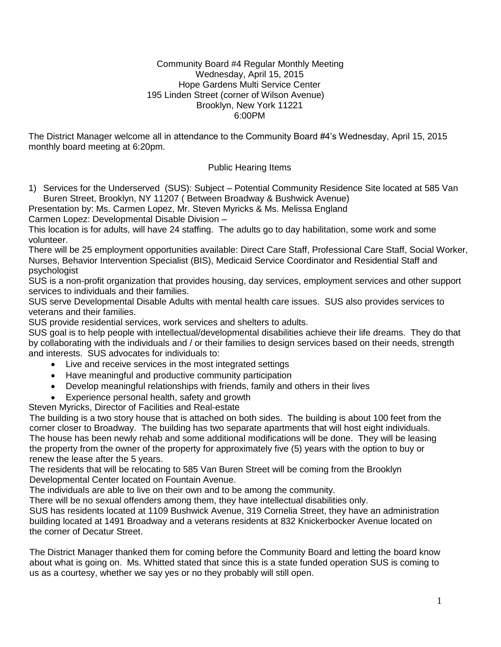#### Community Board #4 Regular Monthly Meeting Wednesday, April 15, 2015 Hope Gardens Multi Service Center 195 Linden Street (corner of Wilson Avenue) Brooklyn, New York 11221 6:00PM

The District Manager welcome all in attendance to the Community Board #4's Wednesday, April 15, 2015 monthly board meeting at 6:20pm.

### Public Hearing Items

1) Services for the Underserved (SUS): Subject – Potential Community Residence Site located at 585 Van Buren Street, Brooklyn, NY 11207 ( Between Broadway & Bushwick Avenue)

Presentation by: Ms. Carmen Lopez, Mr. Steven Myricks & Ms. Melissa England

Carmen Lopez: Developmental Disable Division –

This location is for adults, will have 24 staffing. The adults go to day habilitation, some work and some volunteer.

There will be 25 employment opportunities available: Direct Care Staff, Professional Care Staff, Social Worker, Nurses, Behavior Intervention Specialist (BIS), Medicaid Service Coordinator and Residential Staff and psychologist

SUS is a non-profit organization that provides housing, day services, employment services and other support services to individuals and their families.

SUS serve Developmental Disable Adults with mental health care issues. SUS also provides services to veterans and their families.

SUS provide residential services, work services and shelters to adults.

SUS goal is to help people with intellectual/developmental disabilities achieve their life dreams. They do that by collaborating with the individuals and / or their families to design services based on their needs, strength and interests. SUS advocates for individuals to:

- Live and receive services in the most integrated settings
- Have meaningful and productive community participation
- Develop meaningful relationships with friends, family and others in their lives
- Experience personal health, safety and growth

Steven Myricks, Director of Facilities and Real-estate

The building is a two story house that is attached on both sides. The building is about 100 feet from the corner closer to Broadway. The building has two separate apartments that will host eight individuals. The house has been newly rehab and some additional modifications will be done. They will be leasing the property from the owner of the property for approximately five (5) years with the option to buy or renew the lease after the 5 years.

The residents that will be relocating to 585 Van Buren Street will be coming from the Brooklyn Developmental Center located on Fountain Avenue.

The individuals are able to live on their own and to be among the community.

There will be no sexual offenders among them, they have intellectual disabilities only.

SUS has residents located at 1109 Bushwick Avenue, 319 Cornelia Street, they have an administration building located at 1491 Broadway and a veterans residents at 832 Knickerbocker Avenue located on the corner of Decatur Street.

The District Manager thanked them for coming before the Community Board and letting the board know about what is going on. Ms. Whitted stated that since this is a state funded operation SUS is coming to us as a courtesy, whether we say yes or no they probably will still open.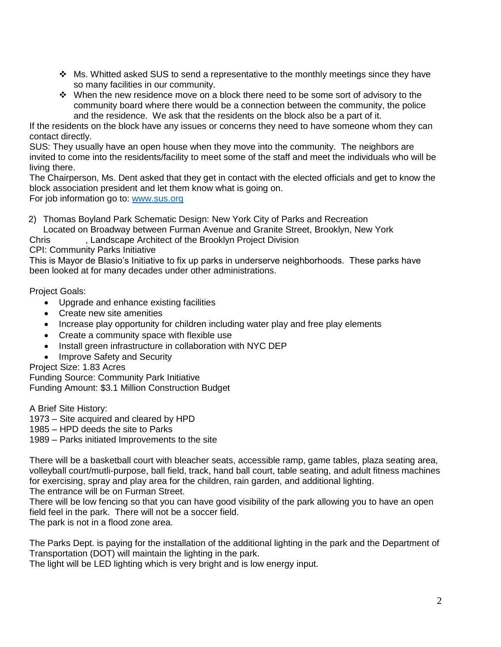- $\cdot$  Ms. Whitted asked SUS to send a representative to the monthly meetings since they have so many facilities in our community.
- \* When the new residence move on a block there need to be some sort of advisory to the community board where there would be a connection between the community, the police and the residence. We ask that the residents on the block also be a part of it.

If the residents on the block have any issues or concerns they need to have someone whom they can contact directly.

SUS: They usually have an open house when they move into the community. The neighbors are invited to come into the residents/facility to meet some of the staff and meet the individuals who will be living there.

The Chairperson, Ms. Dent asked that they get in contact with the elected officials and get to know the block association president and let them know what is going on.

For job information go to: [www.sus.org](http://www.sus.org/)

2) Thomas Boyland Park Schematic Design: New York City of Parks and Recreation

Located on Broadway between Furman Avenue and Granite Street, Brooklyn, New York

Chris , Landscape Architect of the Brooklyn Project Division

CPI: Community Parks Initiative

This is Mayor de Blasio's Initiative to fix up parks in underserve neighborhoods. These parks have been looked at for many decades under other administrations.

Project Goals:

- Upgrade and enhance existing facilities
- Create new site amenities
- Increase play opportunity for children including water play and free play elements
- Create a community space with flexible use
- Install green infrastructure in collaboration with NYC DEP
- Improve Safety and Security

Project Size: 1.83 Acres

Funding Source: Community Park Initiative Funding Amount: \$3.1 Million Construction Budget

A Brief Site History:

1973 – Site acquired and cleared by HPD

1985 – HPD deeds the site to Parks

1989 – Parks initiated Improvements to the site

There will be a basketball court with bleacher seats, accessible ramp, game tables, plaza seating area, volleyball court/mutli-purpose, ball field, track, hand ball court, table seating, and adult fitness machines for exercising, spray and play area for the children, rain garden, and additional lighting. The entrance will be on Furman Street.

There will be low fencing so that you can have good visibility of the park allowing you to have an open field feel in the park. There will not be a soccer field.

The park is not in a flood zone area.

The Parks Dept. is paying for the installation of the additional lighting in the park and the Department of Transportation (DOT) will maintain the lighting in the park.

The light will be LED lighting which is very bright and is low energy input.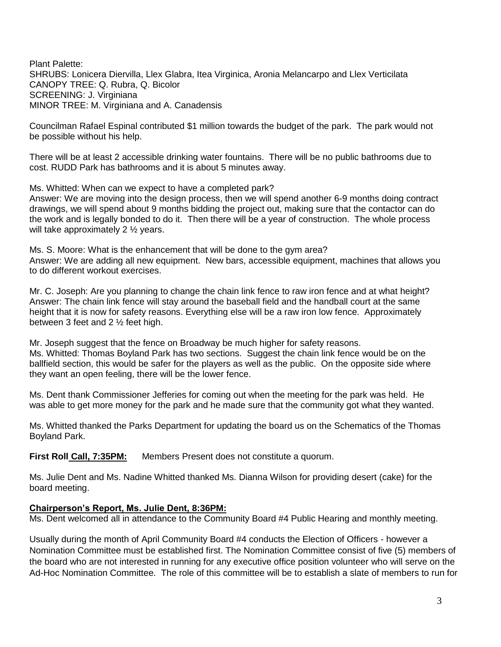Plant Palette: SHRUBS: Lonicera Diervilla, Llex Glabra, Itea Virginica, Aronia Melancarpo and Llex Verticilata CANOPY TREE: Q. Rubra, Q. Bicolor SCREENING: J. Virginiana MINOR TREE: M. Virginiana and A. Canadensis

Councilman Rafael Espinal contributed \$1 million towards the budget of the park. The park would not be possible without his help.

There will be at least 2 accessible drinking water fountains. There will be no public bathrooms due to cost. RUDD Park has bathrooms and it is about 5 minutes away.

Ms. Whitted: When can we expect to have a completed park? Answer: We are moving into the design process, then we will spend another 6-9 months doing contract drawings, we will spend about 9 months bidding the project out, making sure that the contactor can do the work and is legally bonded to do it. Then there will be a year of construction. The whole process will take approximately 2 1/<sub>2</sub> years.

Ms. S. Moore: What is the enhancement that will be done to the gym area? Answer: We are adding all new equipment. New bars, accessible equipment, machines that allows you to do different workout exercises.

Mr. C. Joseph: Are you planning to change the chain link fence to raw iron fence and at what height? Answer: The chain link fence will stay around the baseball field and the handball court at the same height that it is now for safety reasons. Everything else will be a raw iron low fence. Approximately between 3 feet and 2 ½ feet high.

Mr. Joseph suggest that the fence on Broadway be much higher for safety reasons. Ms. Whitted: Thomas Boyland Park has two sections. Suggest the chain link fence would be on the ballfield section, this would be safer for the players as well as the public. On the opposite side where they want an open feeling, there will be the lower fence.

Ms. Dent thank Commissioner Jefferies for coming out when the meeting for the park was held. He was able to get more money for the park and he made sure that the community got what they wanted.

Ms. Whitted thanked the Parks Department for updating the board us on the Schematics of the Thomas Boyland Park.

**First Roll Call, 7:35PM:** Members Present does not constitute a quorum.

Ms. Julie Dent and Ms. Nadine Whitted thanked Ms. Dianna Wilson for providing desert (cake) for the board meeting.

#### **Chairperson's Report, Ms. Julie Dent, 8:36PM:**

Ms. Dent welcomed all in attendance to the Community Board #4 Public Hearing and monthly meeting.

Usually during the month of April Community Board #4 conducts the Election of Officers - however a Nomination Committee must be established first. The Nomination Committee consist of five (5) members of the board who are not interested in running for any executive office position volunteer who will serve on the Ad-Hoc Nomination Committee. The role of this committee will be to establish a slate of members to run for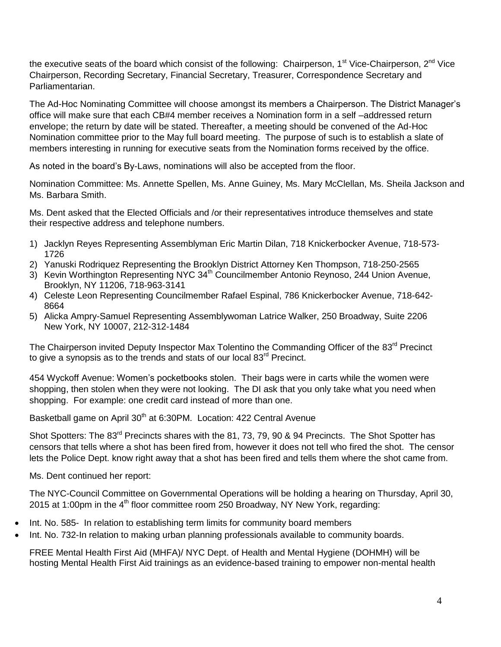the executive seats of the board which consist of the following: Chairperson, 1<sup>st</sup> Vice-Chairperson, 2<sup>nd</sup> Vice Chairperson, Recording Secretary, Financial Secretary, Treasurer, Correspondence Secretary and Parliamentarian.

The Ad-Hoc Nominating Committee will choose amongst its members a Chairperson. The District Manager's office will make sure that each CB#4 member receives a Nomination form in a self –addressed return envelope; the return by date will be stated. Thereafter, a meeting should be convened of the Ad-Hoc Nomination committee prior to the May full board meeting. The purpose of such is to establish a slate of members interesting in running for executive seats from the Nomination forms received by the office.

As noted in the board's By-Laws, nominations will also be accepted from the floor.

Nomination Committee: Ms. Annette Spellen, Ms. Anne Guiney, Ms. Mary McClellan, Ms. Sheila Jackson and Ms. Barbara Smith.

Ms. Dent asked that the Elected Officials and /or their representatives introduce themselves and state their respective address and telephone numbers.

- 1) Jacklyn Reyes Representing Assemblyman Eric Martin Dilan, 718 Knickerbocker Avenue, 718-573- 1726
- 2) Yanuski Rodriquez Representing the Brooklyn District Attorney Ken Thompson, 718-250-2565
- 3) Kevin Worthington Representing NYC 34<sup>th</sup> Councilmember Antonio Reynoso, 244 Union Avenue, Brooklyn, NY 11206, 718-963-3141
- 4) Celeste Leon Representing Councilmember Rafael Espinal, 786 Knickerbocker Avenue, 718-642- 8664
- 5) Alicka Ampry-Samuel Representing Assemblywoman Latrice Walker, 250 Broadway, Suite 2206 New York, NY 10007, 212-312-1484

The Chairperson invited Deputy Inspector Max Tolentino the Commanding Officer of the 83<sup>rd</sup> Precinct to give a synopsis as to the trends and stats of our local  $83<sup>rd</sup>$  Precinct.

454 Wyckoff Avenue: Women's pocketbooks stolen. Their bags were in carts while the women were shopping, then stolen when they were not looking. The DI ask that you only take what you need when shopping. For example: one credit card instead of more than one.

Basketball game on April 30<sup>th</sup> at 6:30PM. Location: 422 Central Avenue

Shot Spotters: The 83<sup>rd</sup> Precincts shares with the 81, 73, 79, 90 & 94 Precincts. The Shot Spotter has censors that tells where a shot has been fired from, however it does not tell who fired the shot. The censor lets the Police Dept. know right away that a shot has been fired and tells them where the shot came from.

Ms. Dent continued her report:

The NYC-Council Committee on Governmental Operations will be holding a hearing on Thursday, April 30, 2015 at 1:00pm in the  $4<sup>th</sup>$  floor committee room 250 Broadway, NY New York, regarding:

- Int. No. 585- In relation to establishing term limits for community board members
- Int. No. 732-In relation to making urban planning professionals available to community boards.

FREE Mental Health First Aid (MHFA)/ NYC Dept. of Health and Mental Hygiene (DOHMH) will be hosting Mental Health First Aid trainings as an evidence-based training to empower non-mental health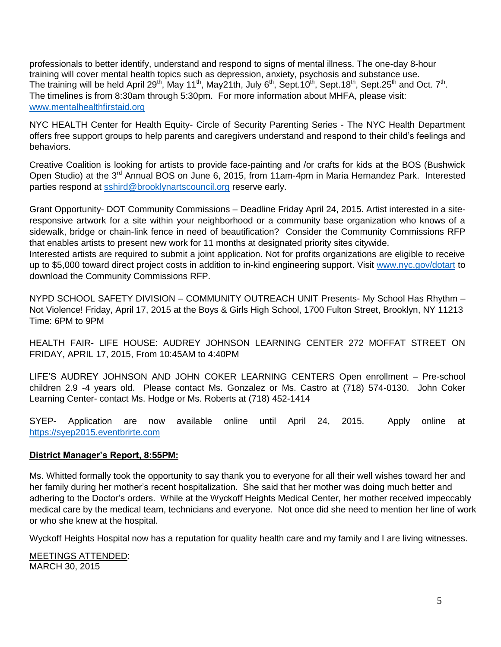professionals to better identify, understand and respond to signs of mental illness. The one-day 8-hour training will cover mental health topics such as depression, anxiety, psychosis and substance use. The training will be held April 29<sup>th</sup>, May 11<sup>th</sup>, May21th, July 6<sup>th</sup>, Sept.10<sup>th</sup>, Sept.18<sup>th</sup>, Sept.25<sup>th</sup> and Oct. 7<sup>th</sup>. The timelines is from 8:30am through 5:30pm. For more information about MHFA, please visit: [www.mentalhealthfirstaid.org](http://www.mentalhealthfirstaid.org/)

NYC HEALTH Center for Health Equity- Circle of Security Parenting Series - The NYC Health Department offers free support groups to help parents and caregivers understand and respond to their child's feelings and behaviors.

Creative Coalition is looking for artists to provide face-painting and /or crafts for kids at the BOS (Bushwick Open Studio) at the 3<sup>rd</sup> Annual BOS on June 6, 2015, from 11am-4pm in Maria Hernandez Park. Interested parties respond at [sshird@brooklynartscouncil.org](mailto:sshird@brooklynartscouncil.org) reserve early.

Grant Opportunity- DOT Community Commissions – Deadline Friday April 24, 2015. Artist interested in a siteresponsive artwork for a site within your neighborhood or a community base organization who knows of a sidewalk, bridge or chain-link fence in need of beautification? Consider the Community Commissions RFP that enables artists to present new work for 11 months at designated priority sites citywide.

Interested artists are required to submit a joint application. Not for profits organizations are eligible to receive up to \$5,000 toward direct project costs in addition to in-kind engineering support. Visit [www.nyc.gov/dotart](http://www.nyc.gov/dotart) to download the Community Commissions RFP.

NYPD SCHOOL SAFETY DIVISION – COMMUNITY OUTREACH UNIT Presents- My School Has Rhythm – Not Violence! Friday, April 17, 2015 at the Boys & Girls High School, 1700 Fulton Street, Brooklyn, NY 11213 Time: 6PM to 9PM

HEALTH FAIR- LIFE HOUSE: AUDREY JOHNSON LEARNING CENTER 272 MOFFAT STREET ON FRIDAY, APRIL 17, 2015, From 10:45AM to 4:40PM

LIFE'S AUDREY JOHNSON AND JOHN COKER LEARNING CENTERS Open enrollment – Pre-school children 2.9 -4 years old. Please contact Ms. Gonzalez or Ms. Castro at (718) 574-0130. John Coker Learning Center- contact Ms. Hodge or Ms. Roberts at (718) 452-1414

SYEP- Application are now available online until April 24, 2015. Apply online at [https://syep2015.eventbrirte.com](https://syep2015.eventbrirte.com/)

### **District Manager's Report, 8:55PM:**

Ms. Whitted formally took the opportunity to say thank you to everyone for all their well wishes toward her and her family during her mother's recent hospitalization. She said that her mother was doing much better and adhering to the Doctor's orders. While at the Wyckoff Heights Medical Center, her mother received impeccably medical care by the medical team, technicians and everyone. Not once did she need to mention her line of work or who she knew at the hospital.

Wyckoff Heights Hospital now has a reputation for quality health care and my family and I are living witnesses.

MEETINGS ATTENDED: MARCH 30, 2015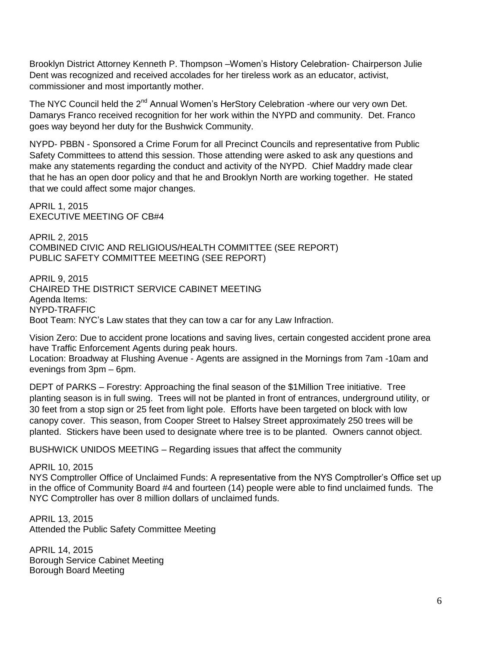Brooklyn District Attorney Kenneth P. Thompson –Women's History Celebration- Chairperson Julie Dent was recognized and received accolades for her tireless work as an educator, activist, commissioner and most importantly mother.

The NYC Council held the 2<sup>nd</sup> Annual Women's HerStory Celebration -where our very own Det. Damarys Franco received recognition for her work within the NYPD and community. Det. Franco goes way beyond her duty for the Bushwick Community.

NYPD- PBBN - Sponsored a Crime Forum for all Precinct Councils and representative from Public Safety Committees to attend this session. Those attending were asked to ask any questions and make any statements regarding the conduct and activity of the NYPD. Chief Maddry made clear that he has an open door policy and that he and Brooklyn North are working together. He stated that we could affect some major changes.

APRIL 1, 2015 EXECUTIVE MEETING OF CB#4

APRIL 2, 2015 COMBINED CIVIC AND RELIGIOUS/HEALTH COMMITTEE (SEE REPORT) PUBLIC SAFETY COMMITTEE MEETING (SEE REPORT)

APRIL 9, 2015 CHAIRED THE DISTRICT SERVICE CABINET MEETING Agenda Items: NYPD-TRAFFIC Boot Team: NYC's Law states that they can tow a car for any Law Infraction.

Vision Zero: Due to accident prone locations and saving lives, certain congested accident prone area have Traffic Enforcement Agents during peak hours.

Location: Broadway at Flushing Avenue - Agents are assigned in the Mornings from 7am -10am and evenings from 3pm – 6pm.

DEPT of PARKS – Forestry: Approaching the final season of the \$1Million Tree initiative. Tree planting season is in full swing. Trees will not be planted in front of entrances, underground utility, or 30 feet from a stop sign or 25 feet from light pole. Efforts have been targeted on block with low canopy cover. This season, from Cooper Street to Halsey Street approximately 250 trees will be planted. Stickers have been used to designate where tree is to be planted. Owners cannot object.

BUSHWICK UNIDOS MEETING – Regarding issues that affect the community

APRIL 10, 2015 NYS Comptroller Office of Unclaimed Funds: A representative from the NYS Comptroller's Office set up in the office of Community Board #4 and fourteen (14) people were able to find unclaimed funds. The NYC Comptroller has over 8 million dollars of unclaimed funds.

APRIL 13, 2015 Attended the Public Safety Committee Meeting

APRIL 14, 2015 Borough Service Cabinet Meeting Borough Board Meeting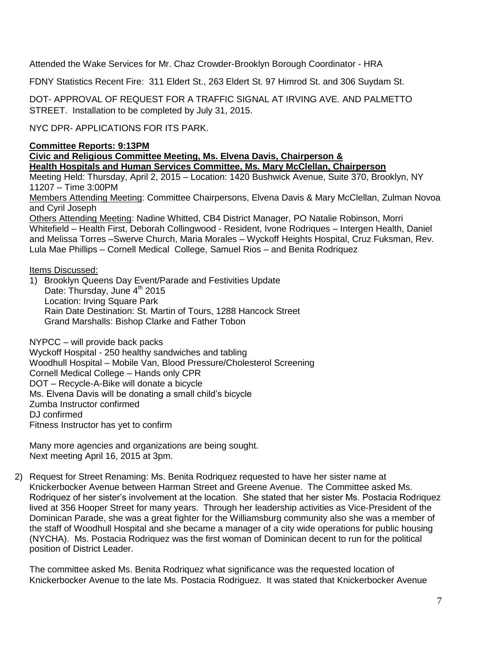Attended the Wake Services for Mr. Chaz Crowder-Brooklyn Borough Coordinator - HRA

FDNY Statistics Recent Fire: 311 Eldert St., 263 Eldert St. 97 Himrod St. and 306 Suydam St.

DOT- APPROVAL OF REQUEST FOR A TRAFFIC SIGNAL AT IRVING AVE. AND PALMETTO STREET. Installation to be completed by July 31, 2015.

NYC DPR- APPLICATIONS FOR ITS PARK.

**Committee Reports: 9:13PM**

**Civic and Religious Committee Meeting, Ms. Elvena Davis, Chairperson & Health Hospitals and Human Services Committee, Ms. Mary McClellan, Chairperson** 

Meeting Held: Thursday, April 2, 2015 – Location: 1420 Bushwick Avenue, Suite 370, Brooklyn, NY 11207 – Time 3:00PM

Members Attending Meeting: Committee Chairpersons, Elvena Davis & Mary McClellan, Zulman Novoa and Cyril Joseph

Others Attending Meeting: Nadine Whitted, CB4 District Manager, PO Natalie Robinson, Morri Whitefield – Health First, Deborah Collingwood - Resident, Ivone Rodriques – Intergen Health, Daniel and Melissa Torres –Swerve Church, Maria Morales – Wyckoff Heights Hospital, Cruz Fuksman, Rev. Lula Mae Phillips – Cornell Medical College, Samuel Rios – and Benita Rodriquez

Items Discussed:

1) Brooklyn Queens Day Event/Parade and Festivities Update Date: Thursday, June 4<sup>th</sup> 2015 Location: Irving Square Park Rain Date Destination: St. Martin of Tours, 1288 Hancock Street Grand Marshalls: Bishop Clarke and Father Tobon

NYPCC – will provide back packs Wyckoff Hospital - 250 healthy sandwiches and tabling Woodhull Hospital – Mobile Van, Blood Pressure/Cholesterol Screening Cornell Medical College – Hands only CPR DOT – Recycle-A-Bike will donate a bicycle Ms. Elvena Davis will be donating a small child's bicycle Zumba Instructor confirmed DJ confirmed Fitness Instructor has yet to confirm

Many more agencies and organizations are being sought. Next meeting April 16, 2015 at 3pm.

2) Request for Street Renaming: Ms. Benita Rodriquez requested to have her sister name at Knickerbocker Avenue between Harman Street and Greene Avenue. The Committee asked Ms. Rodriquez of her sister's involvement at the location. She stated that her sister Ms. Postacia Rodriquez lived at 356 Hooper Street for many years. Through her leadership activities as Vice-President of the Dominican Parade, she was a great fighter for the Williamsburg community also she was a member of the staff of Woodhull Hospital and she became a manager of a city wide operations for public housing (NYCHA). Ms. Postacia Rodriquez was the first woman of Dominican decent to run for the political position of District Leader.

The committee asked Ms. Benita Rodriquez what significance was the requested location of Knickerbocker Avenue to the late Ms. Postacia Rodriguez. It was stated that Knickerbocker Avenue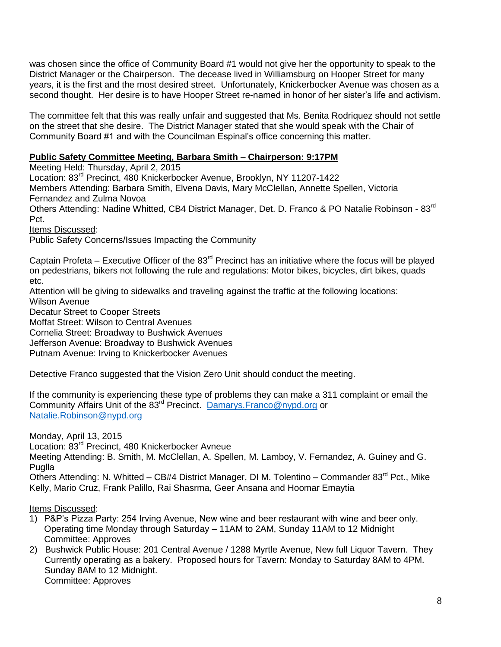was chosen since the office of Community Board #1 would not give her the opportunity to speak to the District Manager or the Chairperson. The decease lived in Williamsburg on Hooper Street for many years, it is the first and the most desired street. Unfortunately, Knickerbocker Avenue was chosen as a second thought. Her desire is to have Hooper Street re-named in honor of her sister's life and activism.

The committee felt that this was really unfair and suggested that Ms. Benita Rodriquez should not settle on the street that she desire. The District Manager stated that she would speak with the Chair of Community Board #1 and with the Councilman Espinal's office concerning this matter.

### **Public Safety Committee Meeting, Barbara Smith – Chairperson: 9:17PM**

Meeting Held: Thursday, April 2, 2015 Location: 83rd Precinct, 480 Knickerbocker Avenue, Brooklyn, NY 11207-1422 Members Attending: Barbara Smith, Elvena Davis, Mary McClellan, Annette Spellen, Victoria Fernandez and Zulma Novoa Others Attending: Nadine Whitted, CB4 District Manager, Det. D. Franco & PO Natalie Robinson - 83<sup>rd</sup> Pct. Items Discussed:

Public Safety Concerns/Issues Impacting the Community

Captain Profeta – Executive Officer of the  $83<sup>rd</sup>$  Precinct has an initiative where the focus will be played on pedestrians, bikers not following the rule and regulations: Motor bikes, bicycles, dirt bikes, quads etc.

Attention will be giving to sidewalks and traveling against the traffic at the following locations: Wilson Avenue

Decatur Street to Cooper Streets

Moffat Street: Wilson to Central Avenues

Cornelia Street: Broadway to Bushwick Avenues

Jefferson Avenue: Broadway to Bushwick Avenues

Putnam Avenue: Irving to Knickerbocker Avenues

Detective Franco suggested that the Vision Zero Unit should conduct the meeting.

If the community is experiencing these type of problems they can make a 311 complaint or email the Community Affairs Unit of the 83rd Precinct. [Damarys.Franco@nypd.org](mailto:Damarys.Franco@nypd.org) or [Natalie.Robinson@nypd.org](mailto:Natalie.Robinson@nypd.org) 

Monday, April 13, 2015

Location: 83<sup>rd</sup> Precinct, 480 Knickerbocker Avneue

Meeting Attending: B. Smith, M. McClellan, A. Spellen, M. Lamboy, V. Fernandez, A. Guiney and G. Puglla

Others Attending: N. Whitted – CB#4 District Manager, DI M. Tolentino – Commander 83<sup>rd</sup> Pct., Mike Kelly, Mario Cruz, Frank Palillo, Rai Shasrma, Geer Ansana and Hoomar Emaytia

#### Items Discussed:

- 1) P&P's Pizza Party: 254 Irving Avenue, New wine and beer restaurant with wine and beer only. Operating time Monday through Saturday – 11AM to 2AM, Sunday 11AM to 12 Midnight Committee: Approves
- 2) Bushwick Public House: 201 Central Avenue / 1288 Myrtle Avenue, New full Liquor Tavern. They Currently operating as a bakery. Proposed hours for Tavern: Monday to Saturday 8AM to 4PM. Sunday 8AM to 12 Midnight. Committee: Approves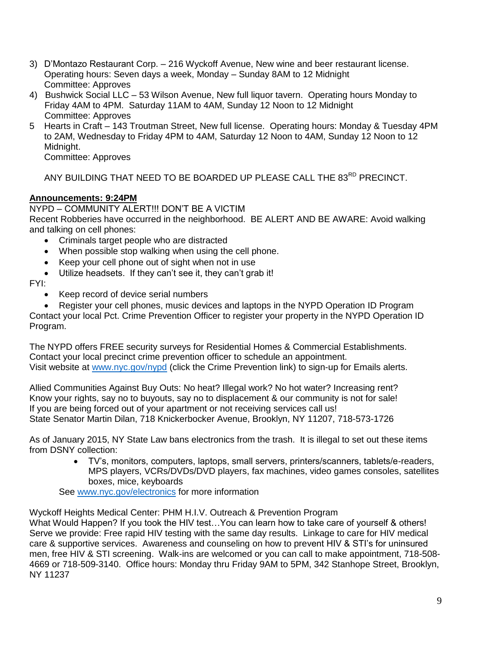- 3) D'Montazo Restaurant Corp. 216 Wyckoff Avenue, New wine and beer restaurant license. Operating hours: Seven days a week, Monday – Sunday 8AM to 12 Midnight Committee: Approves
- 4) Bushwick Social LLC 53 Wilson Avenue, New full liquor tavern. Operating hours Monday to Friday 4AM to 4PM. Saturday 11AM to 4AM, Sunday 12 Noon to 12 Midnight Committee: Approves
- 5 Hearts in Craft 143 Troutman Street, New full license. Operating hours: Monday & Tuesday 4PM to 2AM, Wednesday to Friday 4PM to 4AM, Saturday 12 Noon to 4AM, Sunday 12 Noon to 12 Midnight.

Committee: Approves

ANY BUILDING THAT NEED TO BE BOARDED UP PLEASE CALL THE 83<sup>RD</sup> PRECINCT.

# **Announcements: 9:24PM**

NYPD – COMMUNITY ALERT!!! DON'T BE A VICTIM Recent Robberies have occurred in the neighborhood. BE ALERT AND BE AWARE: Avoid walking and talking on cell phones:

- Criminals target people who are distracted
- When possible stop walking when using the cell phone.
- Keep your cell phone out of sight when not in use
- Utilize headsets. If they can't see it, they can't grab it!

## FYI:

- Keep record of device serial numbers
- Register your cell phones, music devices and laptops in the NYPD Operation ID Program Contact your local Pct. Crime Prevention Officer to register your property in the NYPD Operation ID

Program.

The NYPD offers FREE security surveys for Residential Homes & Commercial Establishments. Contact your local precinct crime prevention officer to schedule an appointment. Visit website at [www.nyc.gov/nypd](http://www.nyc.gov/nypd) (click the Crime Prevention link) to sign-up for Emails alerts.

Allied Communities Against Buy Outs: No heat? Illegal work? No hot water? Increasing rent? Know your rights, say no to buyouts, say no to displacement & our community is not for sale! If you are being forced out of your apartment or not receiving services call us! State Senator Martin Dilan, 718 Knickerbocker Avenue, Brooklyn, NY 11207, 718-573-1726

As of January 2015, NY State Law bans electronics from the trash. It is illegal to set out these items from DSNY collection:

 TV's, monitors, computers, laptops, small servers, printers/scanners, tablets/e-readers, MPS players, VCRs/DVDs/DVD players, fax machines, video games consoles, satellites boxes, mice, keyboards

See [www.nyc.gov/electronics](http://www.nyc.gov/electronics) for more information

Wyckoff Heights Medical Center: PHM H.I.V. Outreach & Prevention Program What Would Happen? If you took the HIV test…You can learn how to take care of yourself & others! Serve we provide: Free rapid HIV testing with the same day results. Linkage to care for HIV medical care & supportive services. Awareness and counseling on how to prevent HIV & STI's for uninsured men, free HIV & STI screening. Walk-ins are welcomed or you can call to make appointment, 718-508- 4669 or 718-509-3140. Office hours: Monday thru Friday 9AM to 5PM, 342 Stanhope Street, Brooklyn,